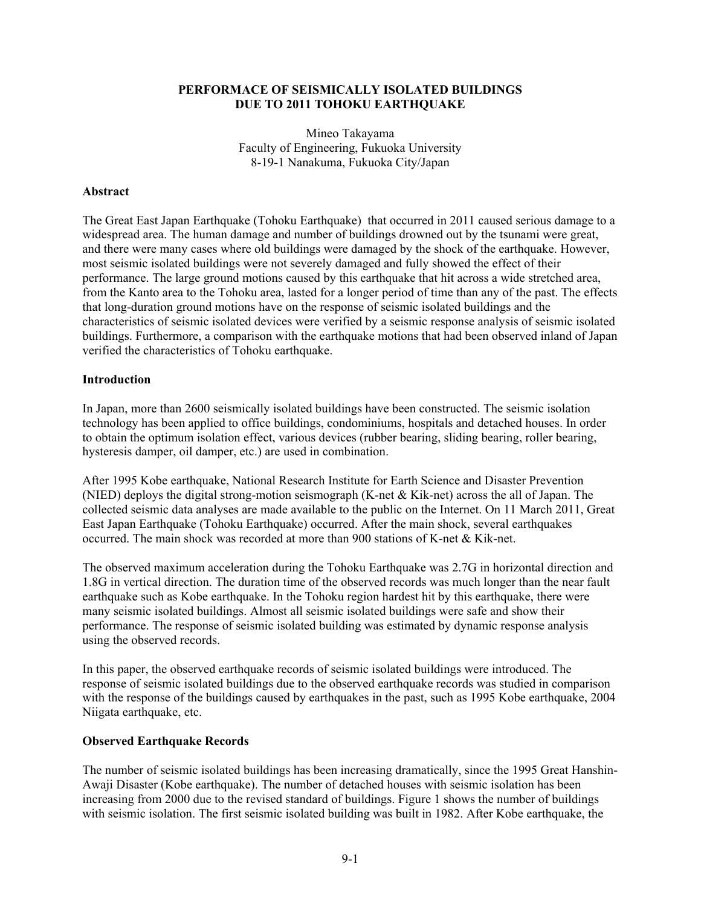## **PERFORMACE OF SEISMICALLY ISOLATED BUILDINGS DUE TO 2011 TOHOKU EARTHQUAKE**

Mineo Takayama Faculty of Engineering, Fukuoka University 8-19-1 Nanakuma, Fukuoka City/Japan

## **Abstract**

The Great East Japan Earthquake (Tohoku Earthquake) that occurred in 2011 caused serious damage to a widespread area. The human damage and number of buildings drowned out by the tsunami were great, and there were many cases where old buildings were damaged by the shock of the earthquake. However, most seismic isolated buildings were not severely damaged and fully showed the effect of their performance. The large ground motions caused by this earthquake that hit across a wide stretched area, from the Kanto area to the Tohoku area, lasted for a longer period of time than any of the past. The effects that long-duration ground motions have on the response of seismic isolated buildings and the characteristics of seismic isolated devices were verified by a seismic response analysis of seismic isolated buildings. Furthermore, a comparison with the earthquake motions that had been observed inland of Japan verified the characteristics of Tohoku earthquake.

### **Introduction**

In Japan, more than 2600 seismically isolated buildings have been constructed. The seismic isolation technology has been applied to office buildings, condominiums, hospitals and detached houses. In order to obtain the optimum isolation effect, various devices (rubber bearing, sliding bearing, roller bearing, hysteresis damper, oil damper, etc.) are used in combination.

After 1995 Kobe earthquake, National Research Institute for Earth Science and Disaster Prevention (NIED) deploys the digital strong-motion seismograph (K-net & Kik-net) across the all of Japan. The collected seismic data analyses are made available to the public on the Internet. On 11 March 2011, Great East Japan Earthquake (Tohoku Earthquake) occurred. After the main shock, several earthquakes occurred. The main shock was recorded at more than 900 stations of K-net & Kik-net.

The observed maximum acceleration during the Tohoku Earthquake was 2.7G in horizontal direction and 1.8G in vertical direction. The duration time of the observed records was much longer than the near fault earthquake such as Kobe earthquake. In the Tohoku region hardest hit by this earthquake, there were many seismic isolated buildings. Almost all seismic isolated buildings were safe and show their performance. The response of seismic isolated building was estimated by dynamic response analysis using the observed records.

In this paper, the observed earthquake records of seismic isolated buildings were introduced. The response of seismic isolated buildings due to the observed earthquake records was studied in comparison with the response of the buildings caused by earthquakes in the past, such as 1995 Kobe earthquake, 2004 Niigata earthquake, etc.

# **Observed Earthquake Records**

The number of seismic isolated buildings has been increasing dramatically, since the 1995 Great Hanshin-Awaji Disaster (Kobe earthquake). The number of detached houses with seismic isolation has been increasing from 2000 due to the revised standard of buildings. Figure 1 shows the number of buildings with seismic isolation. The first seismic isolated building was built in 1982. After Kobe earthquake, the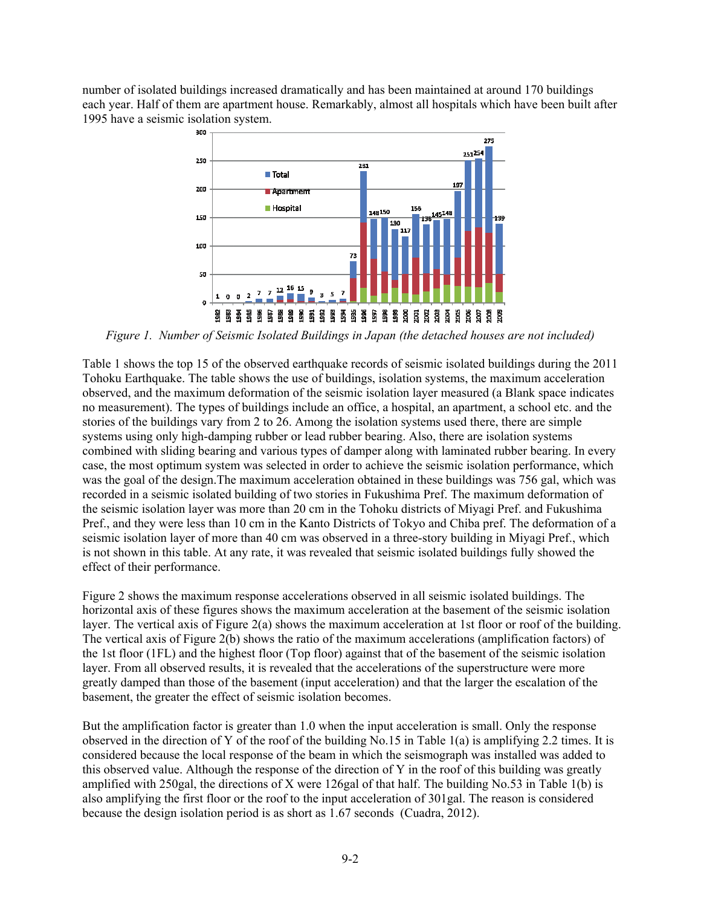number of isolated buildings increased dramatically and has been maintained at around 170 buildings each year. Half of them are apartment house. Remarkably, almost all hospitals which have been built after 1995 have a seismic isolation system.



*Figure 1. Number of Seismic Isolated Buildings in Japan (the detached houses are not included)* 

Table 1 shows the top 15 of the observed earthquake records of seismic isolated buildings during the 2011 Tohoku Earthquake. The table shows the use of buildings, isolation systems, the maximum acceleration observed, and the maximum deformation of the seismic isolation layer measured (a Blank space indicates no measurement). The types of buildings include an office, a hospital, an apartment, a school etc. and the stories of the buildings vary from 2 to 26. Among the isolation systems used there, there are simple systems using only high-damping rubber or lead rubber bearing. Also, there are isolation systems combined with sliding bearing and various types of damper along with laminated rubber bearing. In every case, the most optimum system was selected in order to achieve the seismic isolation performance, which was the goal of the design.The maximum acceleration obtained in these buildings was 756 gal, which was recorded in a seismic isolated building of two stories in Fukushima Pref. The maximum deformation of the seismic isolation layer was more than 20 cm in the Tohoku districts of Miyagi Pref. and Fukushima Pref., and they were less than 10 cm in the Kanto Districts of Tokyo and Chiba pref. The deformation of a seismic isolation layer of more than 40 cm was observed in a three-story building in Miyagi Pref., which is not shown in this table. At any rate, it was revealed that seismic isolated buildings fully showed the effect of their performance.

Figure 2 shows the maximum response accelerations observed in all seismic isolated buildings. The horizontal axis of these figures shows the maximum acceleration at the basement of the seismic isolation layer. The vertical axis of Figure 2(a) shows the maximum acceleration at 1st floor or roof of the building. The vertical axis of Figure 2(b) shows the ratio of the maximum accelerations (amplification factors) of the 1st floor (1FL) and the highest floor (Top floor) against that of the basement of the seismic isolation layer. From all observed results, it is revealed that the accelerations of the superstructure were more greatly damped than those of the basement (input acceleration) and that the larger the escalation of the basement, the greater the effect of seismic isolation becomes.

But the amplification factor is greater than 1.0 when the input acceleration is small. Only the response observed in the direction of Y of the roof of the building No.15 in Table 1(a) is amplifying 2.2 times. It is considered because the local response of the beam in which the seismograph was installed was added to this observed value. Although the response of the direction of Y in the roof of this building was greatly amplified with 250gal, the directions of X were 126gal of that half. The building No.53 in Table 1(b) is also amplifying the first floor or the roof to the input acceleration of 301gal. The reason is considered because the design isolation period is as short as 1.67 seconds (Cuadra, 2012).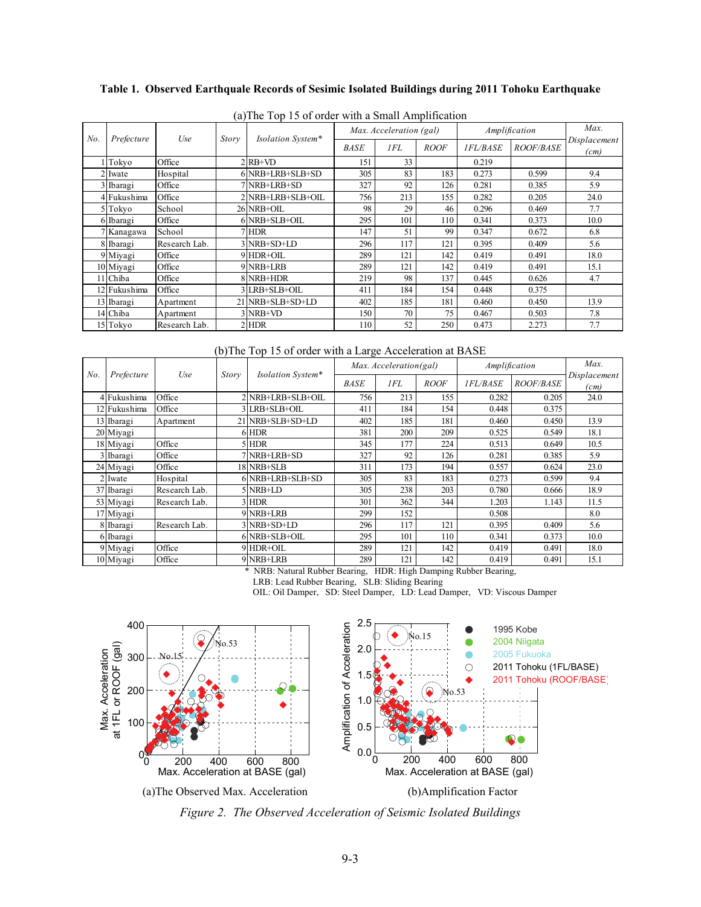## **Table 1. Observed Earthquale Records of Sesimic Isolated Buildings during 2011 Tohoku Earthquake**

| No. | Prefecture   | Use           | $\cdots$<br>Story | Isolation System* | Max. Acceleration (gal) |     |             | Amplification   |                  | Max.                 |
|-----|--------------|---------------|-------------------|-------------------|-------------------------|-----|-------------|-----------------|------------------|----------------------|
|     |              |               |                   |                   | <b>BASE</b>             | 1FL | <b>ROOF</b> | <b>IFL/BASE</b> | <b>ROOF/BASE</b> | Displacement<br>(cm) |
|     | Tokyo        | Office        |                   | $RR+VD$           | 151                     | 33  |             | 0.219           |                  |                      |
|     | 2 Iwate      | Hospital      |                   | 6 NRB+LRB+SLB+SD  | 305                     | 83  | 183         | 0.273           | 0.599            | 9.4                  |
|     | Ibaragi      | Office        |                   | 7 NRB+LRB+SD      | 327                     | 92  | 126         | 0.281           | 0.385            | 5.9                  |
|     | 4 Fukushima  | Office        |                   | 2 NRB+LRB+SLB+OIL | 756                     | 213 | 155         | 0.282           | 0.205            | 24.0                 |
|     | 5 Tokyo      | School        |                   | 26 NRB+OIL        | 98                      | 29  | 46          | 0.296           | 0.469            | 7.7                  |
|     | 6 Ibaragi    | Office        |                   | 6 NRB+SLB+OIL     | 295                     | 101 | 110         | 0.341           | 0.373            | 10.0                 |
|     | 7 Kanagawa   | School        |                   | 7 HDR             | 147                     | 51  | 99          | 0.347           | 0.672            | 6.8                  |
|     | 8 Ibaragi    | Research Lab. |                   | 3 NRB+SD+LD       | 296                     | 117 | 121         | 0.395           | 0.409            | 5.6                  |
|     | 9 Miyagi     | Office        |                   | 9 HDR+OIL         | 289                     | 121 | 142         | 0.419           | 0.491            | 18.0                 |
|     | 10 Miyagi    | Office        |                   | 9 NRB+LRB         | 289                     | 121 | 142         | 0.419           | 0.491            | 15.1                 |
|     | 11 Chiba     | Office        |                   | 8 NRB+HDR         | 219                     | 98  | 137         | 0.445           | 0.626            | 4.7                  |
|     | 12 Fukushima | Office        |                   | 3 LRB+SLB+OIL     | 411                     | 184 | 154         | 0.448           | 0.375            |                      |
|     | 13 Ibaragi   | Apartment     |                   | 21 NRB+SLB+SD+LD  | 402                     | 185 | 181         | 0.460           | 0.450            | 13.9                 |
|     | 14 Chiba     | Apartment     |                   | $3$ NRB+VD        | 150                     | 70  | 75          | 0.467           | 0.503            | 7.8                  |
|     | 15 Tokyo     | Research Lab. |                   | $2$ HDR           | 110                     | 52  | 250         | 0.473           | 2.273            | 7.7                  |

(a)The Top 15 of order with a Small Amplification

(b)The Top 15 of order with a Large Acceleration at BASE

| No. | Prefecture   | Use           | Story | Isolation System* | Max. Acceleration(gal) |     |             | Amplification   | Max.             |                      |
|-----|--------------|---------------|-------|-------------------|------------------------|-----|-------------|-----------------|------------------|----------------------|
|     |              |               |       |                   | <b>BASE</b>            | 1FL | <b>ROOF</b> | <b>IFL/BASE</b> | <i>ROOF/BASE</i> | Displacement<br>(cm) |
|     | 4 Fukushima  | Office        |       | 2 NRB+LRB+SLB+OIL | 756                    | 213 | 155         | 0.282           | 0.205            | 24.0                 |
|     | 12 Fukushima | Office        |       | LRB+SLB+OIL       | 411                    | 184 | 154         | 0.448           | 0.375            |                      |
|     | 13 Ibaragi   | Apartment     |       | 21 NRB+SLB+SD+LD  | 402                    | 185 | 181         | 0.460           | 0.450            | 13.9                 |
|     | 20 Miyagi    |               |       | 6 HDR             | 381                    | 200 | 209         | 0.525           | 0.549            | 18.1                 |
|     | 18 Miyagi    | Office        |       | 5 HDR             | 345                    | 177 | 224         | 0.513           | 0.649            | 10.5                 |
|     | 3 Ibaragi    | Office        |       | 7 NRB+LRB+SD      | 327                    | 92  | 126         | 0.281           | 0.385            | 5.9                  |
|     | 24 Miyagi    | Office        |       | 18 NRB+SLB        | 311                    | 173 | 194         | 0.557           | 0.624            | 23.0                 |
|     | Iwate        | Hospital      |       | 6 NRB+LRB+SLB+SD  | 305                    | 83  | 183         | 0.273           | 0.599            | 9.4                  |
|     | 37 Ibaragi   | Research Lab. |       | $5$ NRB+LD        | 305                    | 238 | 203         | 0.780           | 0.666            | 18.9                 |
|     | 53 Miyagi    | Research Lab. |       | 3 HDR             | 301                    | 362 | 344         | 1.203           | 1.143            | 11.5                 |
|     | 17 Miyagi    |               |       | 9 NRB+LRB         | 299                    | 152 |             | 0.508           |                  | 8.0                  |
|     | 8 Ibaragi    | Research Lab. |       | 3 NRB+SD+LD       | 296                    | 117 | 121         | 0.395           | 0.409            | 5.6                  |
|     | 6 Ibaragi    |               |       | 6 NRB+SLB+OIL     | 295                    | 101 | 110         | 0.341           | 0.373            | 10.0                 |
|     | 9 Miyagi     | Office        |       | 9 HDR+OIL         | 289                    | 121 | 142         | 0.419           | 0.491            | 18.0                 |
|     | 10 Miyagi    | Office        |       | 9 NRB+LRB         | 289                    | 121 | 142         | 0.419           | 0.491            | 15.1                 |

\* NRB: Natural Rubber Bearing, HDR: High Damping Rubber Bearing,

LRB: Lead Rubber Bearing, SLB: Sliding Bearing

OIL: Oil Damper, SD: Steel Damper, LD: Lead Damper, VD: Viscous Damper



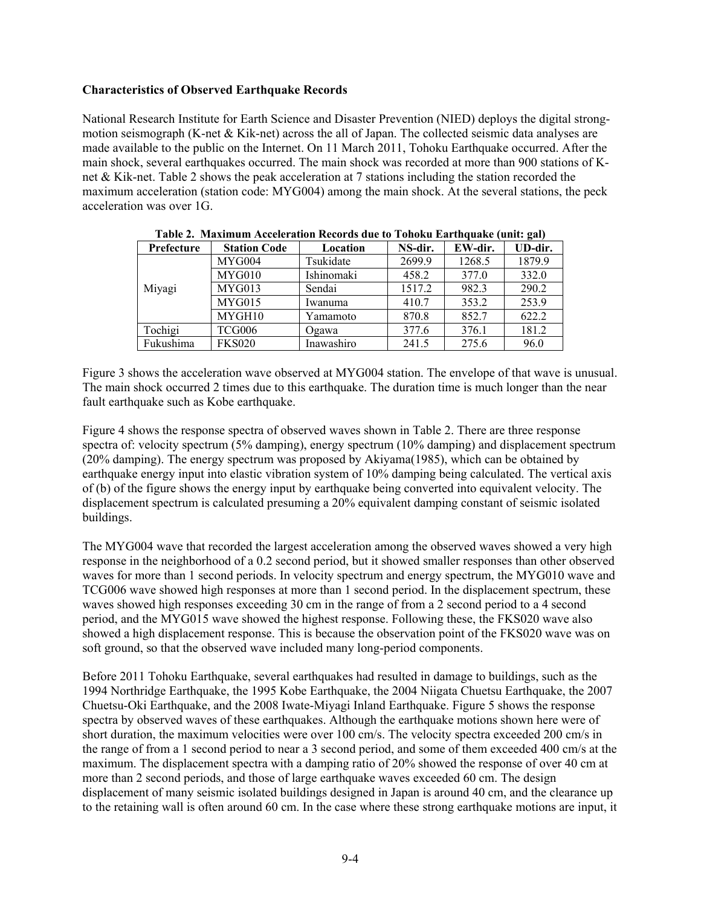# **Characteristics of Observed Earthquake Records**

National Research Institute for Earth Science and Disaster Prevention (NIED) deploys the digital strongmotion seismograph (K-net & Kik-net) across the all of Japan. The collected seismic data analyses are made available to the public on the Internet. On 11 March 2011, Tohoku Earthquake occurred. After the main shock, several earthquakes occurred. The main shock was recorded at more than 900 stations of Knet & Kik-net. Table 2 shows the peak acceleration at 7 stations including the station recorded the maximum acceleration (station code: MYG004) among the main shock. At the several stations, the peck acceleration was over 1G.

| Prefecture | <b>Station Code</b> | Location   | NS-dir. | EW-dir. | $\overline{\phantom{a}}$<br>UD-dir. |
|------------|---------------------|------------|---------|---------|-------------------------------------|
|            | MYG004              | Tsukidate  | 2699.9  | 1268.5  | 1879.9                              |
|            | MYG010              | Ishinomaki | 458.2   | 377.0   | 332.0                               |
| Miyagi     | MYG013              | Sendai     | 1517.2  | 982.3   | 290.2                               |
|            | MYG015              | Iwanuma    | 410.7   | 353.2   | 253.9                               |
|            | MYGH10              | Yamamoto   | 870.8   | 852.7   | 622.2                               |
| Tochigi    | TCG006              | Ogawa      | 377.6   | 376.1   | 181.2                               |
| Fukushima  | <b>FKS020</b>       | Inawashiro | 241.5   | 275.6   | 96.0                                |

|  | Table 2. Maximum Acceleration Records due to Tohoku Earthquake (unit: gal) |  |  |  |
|--|----------------------------------------------------------------------------|--|--|--|

Figure 3 shows the acceleration wave observed at MYG004 station. The envelope of that wave is unusual. The main shock occurred 2 times due to this earthquake. The duration time is much longer than the near fault earthquake such as Kobe earthquake.

Figure 4 shows the response spectra of observed waves shown in Table 2. There are three response spectra of: velocity spectrum (5% damping), energy spectrum (10% damping) and displacement spectrum (20% damping). The energy spectrum was proposed by Akiyama(1985), which can be obtained by earthquake energy input into elastic vibration system of 10% damping being calculated. The vertical axis of (b) of the figure shows the energy input by earthquake being converted into equivalent velocity. The displacement spectrum is calculated presuming a 20% equivalent damping constant of seismic isolated buildings.

The MYG004 wave that recorded the largest acceleration among the observed waves showed a very high response in the neighborhood of a 0.2 second period, but it showed smaller responses than other observed waves for more than 1 second periods. In velocity spectrum and energy spectrum, the MYG010 wave and TCG006 wave showed high responses at more than 1 second period. In the displacement spectrum, these waves showed high responses exceeding 30 cm in the range of from a 2 second period to a 4 second period, and the MYG015 wave showed the highest response. Following these, the FKS020 wave also showed a high displacement response. This is because the observation point of the FKS020 wave was on soft ground, so that the observed wave included many long-period components.

Before 2011 Tohoku Earthquake, several earthquakes had resulted in damage to buildings, such as the 1994 Northridge Earthquake, the 1995 Kobe Earthquake, the 2004 Niigata Chuetsu Earthquake, the 2007 Chuetsu-Oki Earthquake, and the 2008 Iwate-Miyagi Inland Earthquake. Figure 5 shows the response spectra by observed waves of these earthquakes. Although the earthquake motions shown here were of short duration, the maximum velocities were over 100 cm/s. The velocity spectra exceeded 200 cm/s in the range of from a 1 second period to near a 3 second period, and some of them exceeded 400 cm/s at the maximum. The displacement spectra with a damping ratio of 20% showed the response of over 40 cm at more than 2 second periods, and those of large earthquake waves exceeded 60 cm. The design displacement of many seismic isolated buildings designed in Japan is around 40 cm, and the clearance up to the retaining wall is often around 60 cm. In the case where these strong earthquake motions are input, it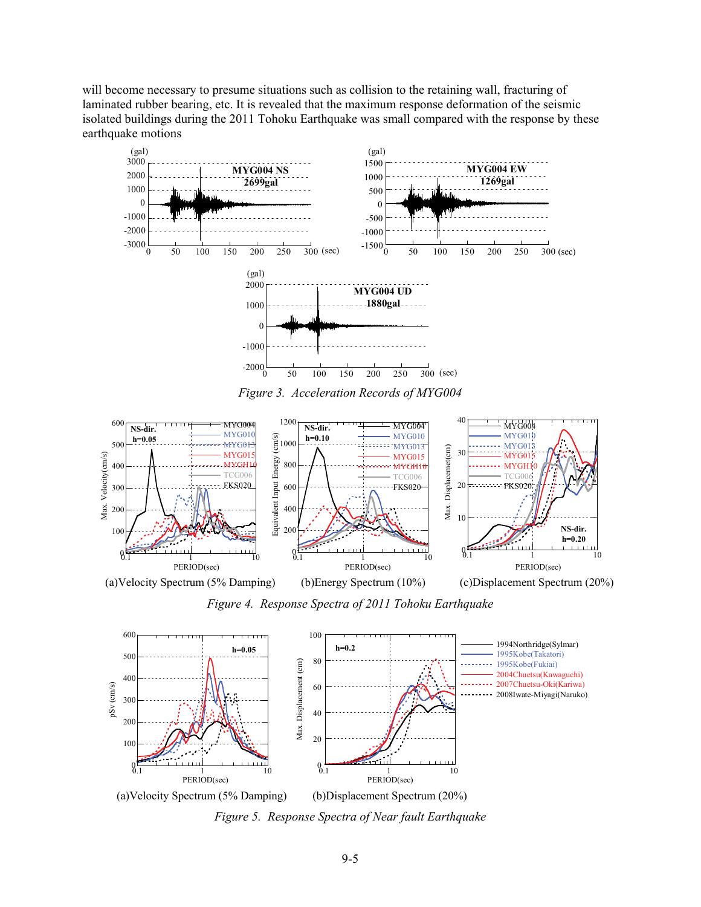will become necessary to presume situations such as collision to the retaining wall, fracturing of laminated rubber bearing, etc. It is revealed that the maximum response deformation of the seismic isolated buildings during the 2011 Tohoku Earthquake was small compared with the response by these earthquake motions



*Figure 3. Acceleration Records of MYG004* 



*Figure 4. Response Spectra of 2011 Tohoku Earthquake* 



*Figure 5. Response Spectra of Near fault Earthquake*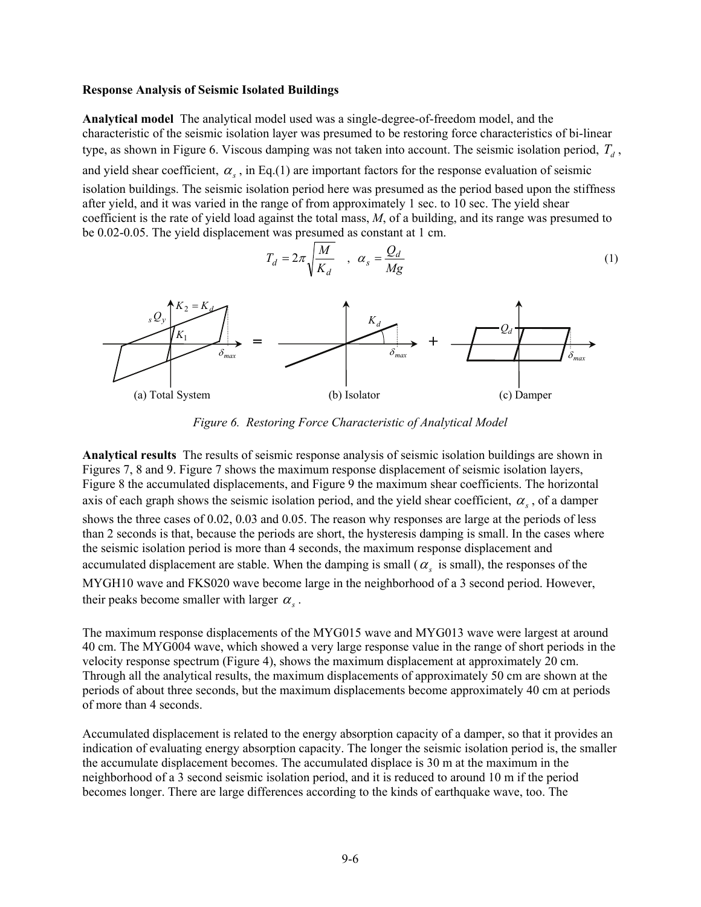#### **Response Analysis of Seismic Isolated Buildings**

**Analytical model** The analytical model used was a single-degree-of-freedom model, and the characteristic of the seismic isolation layer was presumed to be restoring force characteristics of bi-linear type, as shown in Figure 6. Viscous damping was not taken into account. The seismic isolation period,  $T_d$ , and yield shear coefficient,  $\alpha_s$ , in Eq.(1) are important factors for the response evaluation of seismic isolation buildings. The seismic isolation period here was presumed as the period based upon the stiffness after yield, and it was varied in the range of from approximately 1 sec. to 10 sec. The yield shear coefficient is the rate of yield load against the total mass, *M*, of a building, and its range was presumed to be 0.02-0.05. The yield displacement was presumed as constant at 1 cm.

$$
T_d = 2\pi \sqrt{\frac{M}{K_d}} \quad , \quad \alpha_s = \frac{Q_d}{Mg} \tag{1}
$$



*Figure 6. Restoring Force Characteristic of Analytical Model* 

**Analytical results** The results of seismic response analysis of seismic isolation buildings are shown in Figures 7, 8 and 9. Figure 7 shows the maximum response displacement of seismic isolation layers, Figure 8 the accumulated displacements, and Figure 9 the maximum shear coefficients. The horizontal axis of each graph shows the seismic isolation period, and the yield shear coefficient,  $\alpha_s$ , of a damper shows the three cases of 0.02, 0.03 and 0.05. The reason why responses are large at the periods of less than 2 seconds is that, because the periods are short, the hysteresis damping is small. In the cases where the seismic isolation period is more than 4 seconds, the maximum response displacement and accumulated displacement are stable. When the damping is small  $(\alpha_s)$  is small), the responses of the MYGH10 wave and FKS020 wave become large in the neighborhood of a 3 second period. However, their peaks become smaller with larger  $\alpha_{\rm s}$ .

The maximum response displacements of the MYG015 wave and MYG013 wave were largest at around 40 cm. The MYG004 wave, which showed a very large response value in the range of short periods in the velocity response spectrum (Figure 4), shows the maximum displacement at approximately 20 cm. Through all the analytical results, the maximum displacements of approximately 50 cm are shown at the periods of about three seconds, but the maximum displacements become approximately 40 cm at periods of more than 4 seconds.

Accumulated displacement is related to the energy absorption capacity of a damper, so that it provides an indication of evaluating energy absorption capacity. The longer the seismic isolation period is, the smaller the accumulate displacement becomes. The accumulated displace is 30 m at the maximum in the neighborhood of a 3 second seismic isolation period, and it is reduced to around 10 m if the period becomes longer. There are large differences according to the kinds of earthquake wave, too. The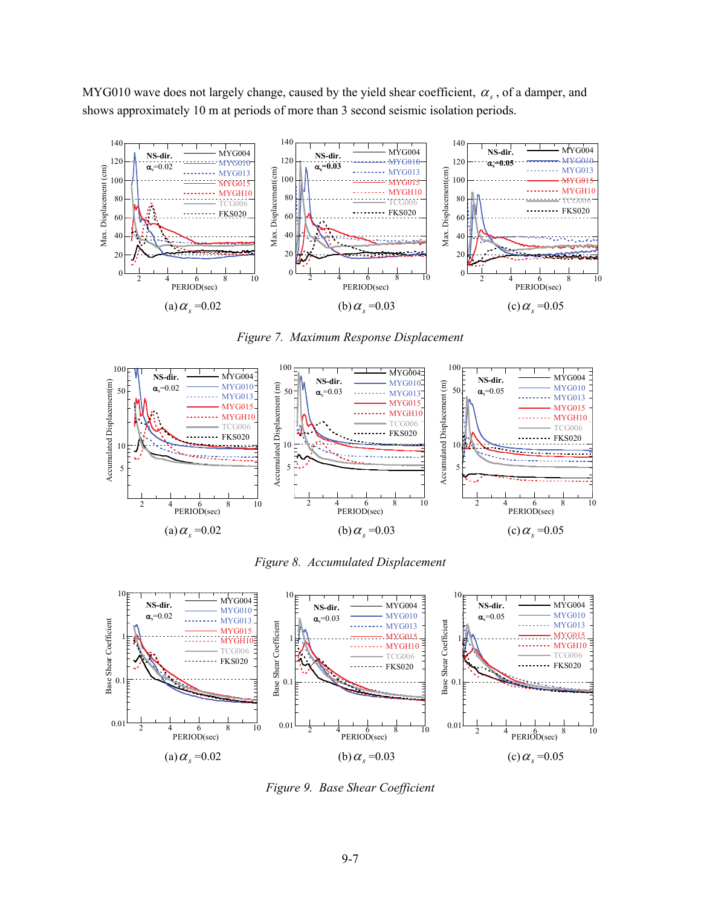MYG010 wave does not largely change, caused by the yield shear coefficient,  $\alpha_s$ , of a damper, and shows approximately 10 m at periods of more than 3 second seismic isolation periods.



*Figure 7. Maximum Response Displacement* 



*Figure 8. Accumulated Displacement* 



*Figure 9. Base Shear Coefficient*